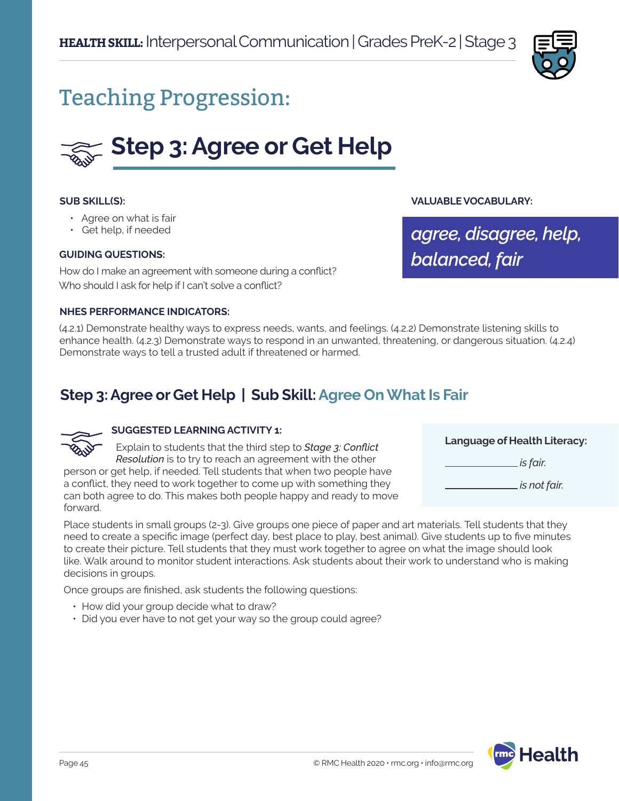

# Teaching Progression:



### **SUB SKILL(S):**

- Agree on what is fair
- Get help, if needed

#### **GUIDING QUESTIONS:**

How do I make an agreement with someone during a conflict? Who should I ask for help if I can't solve a conflict?

#### **NHES PERFORMANCE INDICATORS:**

(4.2.1) Demonstrate healthy ways to express needs, wants, and feelings. (4.2.2) Demonstrate listening skills to enhance health. (4.2.3) Demonstrate ways to respond in an unwanted, threatening, or dangerous situation. (4.2.4) Demonstrate ways to tell a trusted adult if threatened or harmed.

## **Step 3: Agree or Get Help | Sub Skill: Agree On What Is Fair**



### **SUGGESTED LEARNING ACTIVITY 1:**

Explain to students that the third step to *Stage 3: Conflict Resolution* is to try to reach an agreement with the other person or get help, if needed. Tell students that when two people have a conflict, they need to work together to come up with something they can both agree to do. This makes both people happy and ready to move forward.

**Language of Health Literacy:**

**VALUABLE VOCABULARY:**

*balanced, fair*

*agree, disagree, help,* 

 *is fair.* 

 *is not fair.*

Place students in small groups (2-3). Give groups one piece of paper and art materials. Tell students that they need to create a specific image (perfect day, best place to play, best animal). Give students up to five minutes to create their picture. Tell students that they must work together to agree on what the image should look like. Walk around to monitor student interactions. Ask students about their work to understand who is making decisions in groups.

Once groups are finished, ask students the following questions:

- How did your group decide what to draw?
- Did you ever have to not get your way so the group could agree?